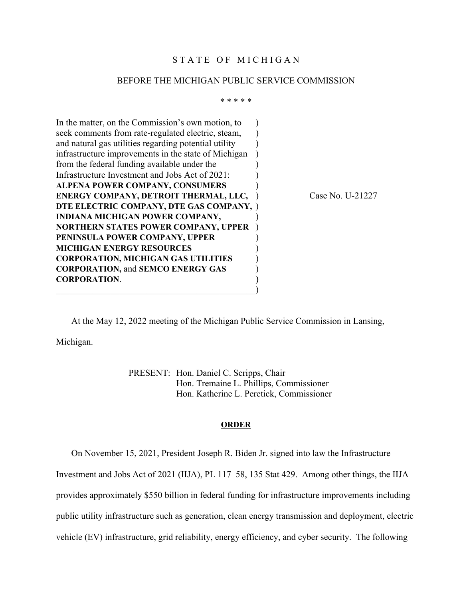### STATE OF MICHIGAN

### BEFORE THE MICHIGAN PUBLIC SERVICE COMMISSION

\* \* \* \* \*

In the matter, on the Commission's own motion, to ) seek comments from rate-regulated electric, steam, and natural gas utilities regarding potential utility  $\qquad$ ) infrastructure improvements in the state of Michigan ) from the federal funding available under the Infrastructure Investment and Jobs Act of 2021: **ALPENA POWER COMPANY, CONSUMERS** ) **ENERGY COMPANY, DETROIT THERMAL, LLC,** ) Case No. U-21227 **DTE ELECTRIC COMPANY, DTE GAS COMPANY,** ) **INDIANA MICHIGAN POWER COMPANY,** ) **NORTHERN STATES POWER COMPANY, UPPER** ) **PENINSULA POWER COMPANY, UPPER** ) **MICHIGAN ENERGY RESOURCES** ) **CORPORATION, MICHIGAN GAS UTILITIES** ) **CORPORATION,** and **SEMCO ENERGY GAS** ) **CORPORATION**. )  $\qquad \qquad \qquad \qquad \qquad \qquad \qquad \qquad \qquad \qquad$ 

At the May 12, 2022 meeting of the Michigan Public Service Commission in Lansing,

Michigan.

PRESENT: Hon. Daniel C. Scripps, Chair Hon. Tremaine L. Phillips, Commissioner Hon. Katherine L. Peretick, Commissioner

#### **ORDER**

On November 15, 2021, President Joseph R. Biden Jr. signed into law the Infrastructure

Investment and Jobs Act of 2021 (IIJA), PL 117–58, 135 Stat 429. Among other things, the IIJA

provides approximately \$550 billion in federal funding for infrastructure improvements including

public utility infrastructure such as generation, clean energy transmission and deployment, electric

vehicle (EV) infrastructure, grid reliability, energy efficiency, and cyber security. The following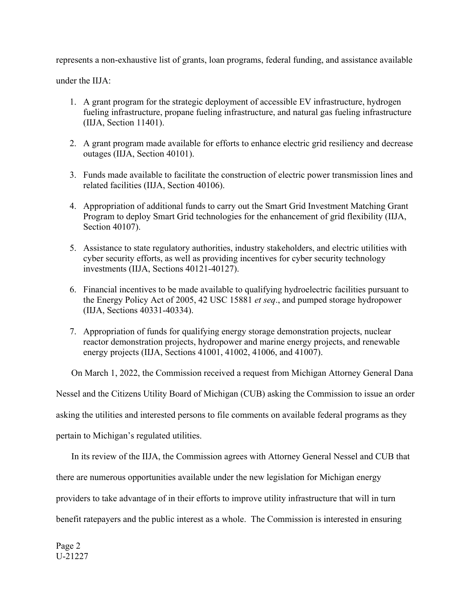represents a non-exhaustive list of grants, loan programs, federal funding, and assistance available

under the IIJA:

- 1. A grant program for the strategic deployment of accessible EV infrastructure, hydrogen fueling infrastructure, propane fueling infrastructure, and natural gas fueling infrastructure (IIJA, Section 11401).
- 2. A grant program made available for efforts to enhance electric grid resiliency and decrease outages (IIJA, Section 40101).
- 3. Funds made available to facilitate the construction of electric power transmission lines and related facilities (IIJA, Section 40106).
- 4. Appropriation of additional funds to carry out the Smart Grid Investment Matching Grant Program to deploy Smart Grid technologies for the enhancement of grid flexibility (IIJA, Section 40107).
- 5. Assistance to state regulatory authorities, industry stakeholders, and electric utilities with cyber security efforts, as well as providing incentives for cyber security technology investments (IIJA, Sections 40121-40127).
- 6. Financial incentives to be made available to qualifying hydroelectric facilities pursuant to the Energy Policy Act of 2005, 42 USC 15881 *et seq*., and pumped storage hydropower (IIJA, Sections 40331-40334).
- 7. Appropriation of funds for qualifying energy storage demonstration projects, nuclear reactor demonstration projects, hydropower and marine energy projects, and renewable energy projects (IIJA, Sections 41001, 41002, 41006, and 41007).

On March 1, 2022, the Commission received a request from Michigan Attorney General Dana

Nessel and the Citizens Utility Board of Michigan (CUB) asking the Commission to issue an order

asking the utilities and interested persons to file comments on available federal programs as they

pertain to Michigan's regulated utilities.

In its review of the IIJA, the Commission agrees with Attorney General Nessel and CUB that

there are numerous opportunities available under the new legislation for Michigan energy

providers to take advantage of in their efforts to improve utility infrastructure that will in turn

benefit ratepayers and the public interest as a whole. The Commission is interested in ensuring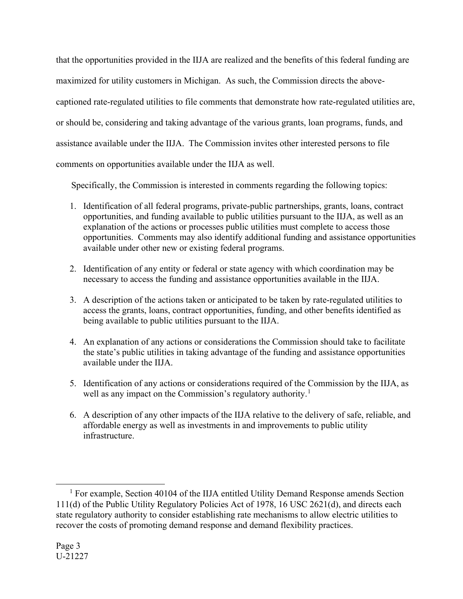that the opportunities provided in the IIJA are realized and the benefits of this federal funding are maximized for utility customers in Michigan. As such, the Commission directs the abovecaptioned rate-regulated utilities to file comments that demonstrate how rate-regulated utilities are, or should be, considering and taking advantage of the various grants, loan programs, funds, and assistance available under the IIJA. The Commission invites other interested persons to file comments on opportunities available under the IIJA as well.

Specifically, the Commission is interested in comments regarding the following topics:

- 1. Identification of all federal programs, private-public partnerships, grants, loans, contract opportunities, and funding available to public utilities pursuant to the IIJA, as well as an explanation of the actions or processes public utilities must complete to access those opportunities. Comments may also identify additional funding and assistance opportunities available under other new or existing federal programs.
- 2. Identification of any entity or federal or state agency with which coordination may be necessary to access the funding and assistance opportunities available in the IIJA.
- 3. A description of the actions taken or anticipated to be taken by rate-regulated utilities to access the grants, loans, contract opportunities, funding, and other benefits identified as being available to public utilities pursuant to the IIJA.
- 4. An explanation of any actions or considerations the Commission should take to facilitate the state's public utilities in taking advantage of the funding and assistance opportunities available under the IIJA.
- 5. Identification of any actions or considerations required of the Commission by the IIJA, as well as any impact on the Commission's regulatory authority.<sup>[1](#page-2-0)</sup>
- 6. A description of any other impacts of the IIJA relative to the delivery of safe, reliable, and affordable energy as well as investments in and improvements to public utility infrastructure.

<span id="page-2-0"></span><sup>&</sup>lt;sup>1</sup> For example, Section 40104 of the IIJA entitled Utility Demand Response amends Section 111(d) of the Public Utility Regulatory Policies Act of 1978, 16 USC 2621(d), and directs each state regulatory authority to consider establishing rate mechanisms to allow electric utilities to recover the costs of promoting demand response and demand flexibility practices.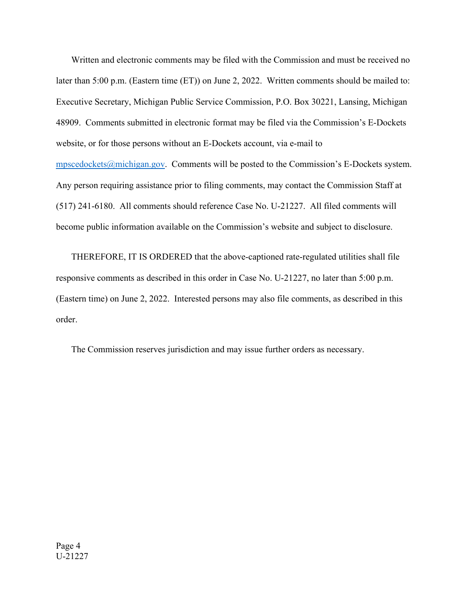Written and electronic comments may be filed with the Commission and must be received no later than 5:00 p.m. (Eastern time (ET)) on June 2, 2022. Written comments should be mailed to: Executive Secretary, Michigan Public Service Commission, P.O. Box 30221, Lansing, Michigan 48909. Comments submitted in electronic format may be filed via the Commission's E-Dockets website, or for those persons without an E-Dockets account, via e-mail to  $m$ pscedockets@michigan.gov. Comments will be posted to the Commission's E-Dockets system. Any person requiring assistance prior to filing comments, may contact the Commission Staff at (517) 241-6180. All comments should reference Case No. U-21227. All filed comments will become public information available on the Commission's website and subject to disclosure.

THEREFORE, IT IS ORDERED that the above-captioned rate-regulated utilities shall file responsive comments as described in this order in Case No. U-21227, no later than 5:00 p.m. (Eastern time) on June 2, 2022. Interested persons may also file comments, as described in this order.

The Commission reserves jurisdiction and may issue further orders as necessary.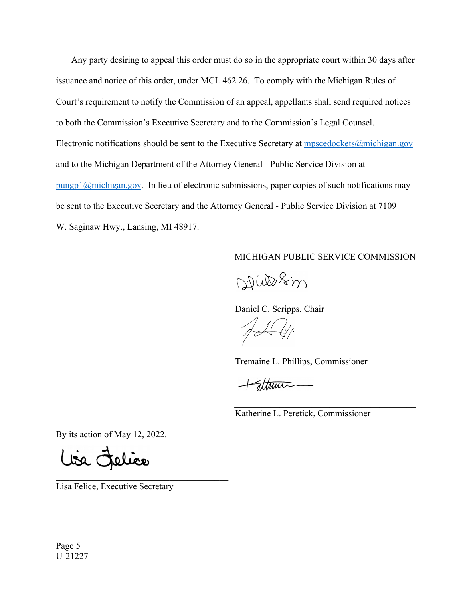Any party desiring to appeal this order must do so in the appropriate court within 30 days after issuance and notice of this order, under MCL 462.26.To comply with the Michigan Rules of Court's requirement to notify the Commission of an appeal, appellants shall send required notices to both the Commission's Executive Secretary and to the Commission's Legal Counsel. Electronic notifications should be sent to the Executive Secretary at [mpscedockets@michigan.gov](mailto:mpscedockets@michigan.gov) and to the Michigan Department of the Attorney General - Public Service Division at  $pungp1@michigan.gov$ . In lieu of electronic submissions, paper copies of such notifications may be sent to the Executive Secretary and the Attorney General - Public Service Division at 7109 W. Saginaw Hwy., Lansing, MI 48917.

## MICHIGAN PUBLIC SERVICE COMMISSION

Dille Sin

Daniel C. Scripps, Chair

Tremaine L. Phillips, Commissioner

attrin

Katherine L. Peretick, Commissioner

By its action of May 12, 2022.

lisa Felice

Lisa Felice, Executive Secretary

\_\_\_\_\_\_\_\_\_\_\_\_\_\_\_\_\_\_\_\_\_\_\_\_\_\_\_\_\_\_\_\_\_\_\_\_\_\_

Page 5 U-21227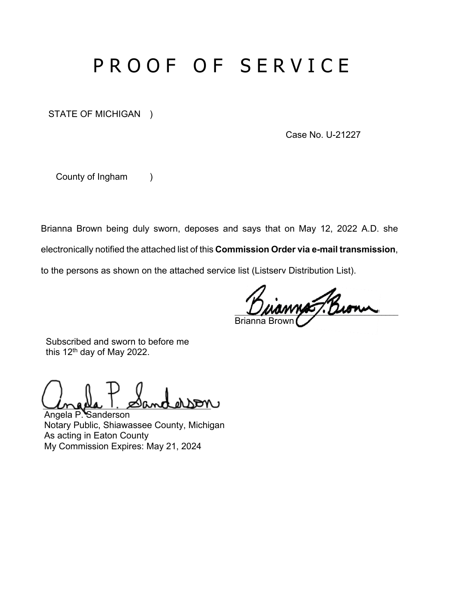# PROOF OF SERVICE

STATE OF MICHIGAN )

Case No. U-21227

County of Ingham )

Brianna Brown being duly sworn, deposes and says that on May 12, 2022 A.D. she

electronically notified the attached list of this **Commission Order via e-mail transmission**,

to the persons as shown on the attached service list (Listserv Distribution List).

 $mgf$  Brown Briann

 Subscribed and sworn to before me this  $12<sup>th</sup>$  day of May 2022.

 $\gamma$ DN $\cap$ 

Angela P. Sanderson Notary Public, Shiawassee County, Michigan As acting in Eaton County My Commission Expires: May 21, 2024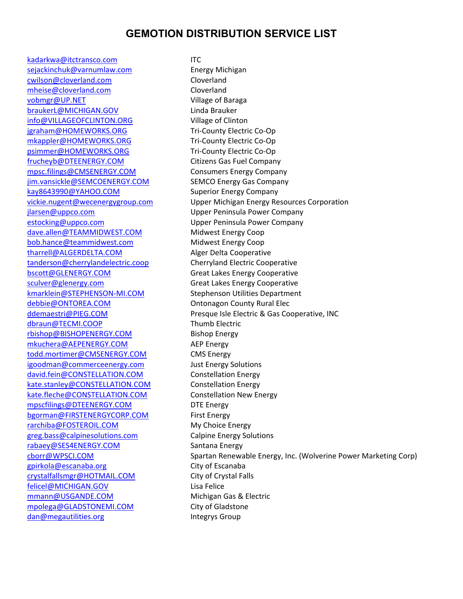## **GEMOTION DISTRIBUTION SERVICE LIST**

[kadarkwa@itctransco.com](mailto:kadarkwa@itctransco.com) ITC [sejackinchuk@varnumlaw.com](mailto:sejackinchuk@varnumlaw.com) Energy Michigan [cwilson@cloverland.com](mailto:cwilson@cloverland.com) Cloverland [mheise@cloverland.com](mailto:mheise@cloverland.com) Cloverland [vobmgr@UP.NET](mailto:vobmgr@UP.NET) Village of Baraga [braukerL@MICHIGAN.GOV](mailto:braukerL@MICHIGAN.GOV) Linda Brauker [info@VILLAGEOFCLINTON.ORG](mailto:info@VILLAGEOFCLINTON.ORG) Village of Clinton [jgraham@HOMEWORKS.ORG](mailto:jgraham@HOMEWORKS.ORG) Tri-County Electric Co-Op [mkappler@HOMEWORKS.ORG](mailto:mkappler@HOMEWORKS.ORG) Tri-County Electric Co-Op [psimmer@HOMEWORKS.ORG](mailto:psimmer@HOMEWORKS.ORG) Tri-County Electric Co-Op [frucheyb@DTEENERGY.COM](mailto:frucheyb@DTEENERGY.COM) Citizens Gas Fuel Company [mpsc.filings@CMSENERGY.COM](mailto:mpsc.filings@CMSENERGY.COM) Consumers Energy Company [jim.vansickle@SEMCOENERGY.COM](mailto:jim.vansickle@SEMCOENERGY.COM) SEMCO Energy Gas Company [kay8643990@YAHOO.COM](mailto:kay8643990@YAHOO.COM) Superior Energy Company [jlarsen@uppco.com](mailto:jlarsen@uppco.com) Upper Peninsula Power Company [estocking@uppco.com](mailto:estocking@uppco.com) Upper Peninsula Power Company [dave.allen@TEAMMIDWEST.COM](mailto:dave.allen@TEAMMIDWEST.COM) Midwest Energy Coop [bob.hance@teammidwest.com](mailto:bob.hance@teammidwest.com) Midwest Energy Coop [tharrell@ALGERDELTA.COM](mailto:tharrell@ALGERDELTA.COM) Alger Delta Cooperative [tanderson@cherrylandelectric.coop](mailto:tanderson@cherrylandelectric.coop) Cherryland Electric Cooperative [bscott@GLENERGY.COM](mailto:bscott@GLENERGY.COM) Great Lakes Energy Cooperative [sculver@glenergy.com](mailto:sculver@glenergy.com) Great Lakes Energy Cooperative [kmarklein@STEPHENSON-MI.COM](mailto:kmarklein@STEPHENSON-MI.COM) Stephenson Utilities Department [debbie@ONTOREA.COM](mailto:debbie@ONTOREA.COM) Ontonagon County Rural Elec [dbraun@TECMI.COOP](mailto:dbraun@TECMI.COOP) Thumb Electric [rbishop@BISHOPENERGY.COM](mailto:rbishop@BISHOPENERGY.COM) Bishop Energy [mkuchera@AEPENERGY.COM](mailto:mkuchera@AEPENERGY.COM) AEP Energy [todd.mortimer@CMSENERGY.COM](mailto:todd.mortimer@CMSENERGY.COM) CMS Energy [igoodman@commerceenergy.com](mailto:igoodman@commerceenergy.com) Just Energy Solutions [david.fein@CONSTELLATION.COM](mailto:david.fein@CONSTELLATION.COM) Constellation Energy [kate.stanley@CONSTELLATION.COM](mailto:kate.stanley@CONSTELLATION.COM) Constellation Energy [kate.fleche@CONSTELLATION.COM](mailto:kate.fleche@CONSTELLATION.COM) Constellation New Energy [mpscfilings@DTEENERGY.COM](mailto:mpscfilings@DTEENERGY.COM) DTE Energy [bgorman@FIRSTENERGYCORP.COM](mailto:bgorman@FIRSTENERGYCORP.COM) First Energy [rarchiba@FOSTEROIL.COM](mailto:rarchiba@FOSTEROIL.COM) My Choice Energy [greg.bass@calpinesolutions.com](mailto:greg.bass@calpinesolutions.com) Calpine Energy Solutions [rabaey@SES4ENERGY.COM](mailto:rabaey@SES4ENERGY.COM) Santana Energy [gpirkola@escanaba.org](mailto:gpirkola@escanaba.org) City of Escanaba [crystalfallsmgr@HOTMAIL.COM](mailto:crystalfallsmgr@HOTMAIL.COM) City of Crystal Falls [felicel@MICHIGAN.GOV](mailto:felicel@MICHIGAN.GOV) Lisa Felice [mmann@USGANDE.COM](mailto:mmann@USGANDE.COM) Michigan Gas & Electric [mpolega@GLADSTONEMI.COM](mailto:mpolega@GLADSTONEMI.COM) City of Gladstone [dan@megautilities.org](mailto:dan@megautilities.org) integrys Group

[vickie.nugent@wecenergygroup.com](mailto:vickie.nugent@wecenergygroup.com) Upper Michigan Energy Resources Corporation [ddemaestri@PIEG.COM](mailto:ddemaestri@PIEG.COM) Presque Isle Electric & Gas Cooperative, INC [cborr@WPSCI.COM](mailto:cborr@WPSCI.COM) Spartan Renewable Energy, Inc. (Wolverine Power Marketing Corp)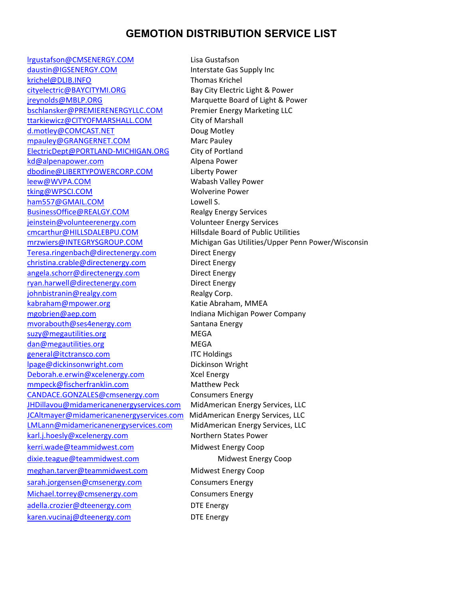## **GEMOTION DISTRIBUTION SERVICE LIST**

[lrgustafson@CMSENERGY.COM](mailto:lrgustafson@CMSENERGY.COM) Lisa Gustafson [daustin@IGSENERGY.COM](mailto:daustin@IGSENERGY.COM) Interstate Gas Supply Inc [krichel@DLIB.INFO](mailto:krichel@DLIB.INFO) Thomas Krichel [cityelectric@BAYCITYMI.ORG](mailto:cityelectric@BAYCITYMI.ORG) Bay City Electric Light & Power [jreynolds@MBLP.ORG](mailto:jreynolds@MBLP.ORG) Marquette Board of Light & Power [bschlansker@PREMIERENERGYLLC.COM](mailto:bschlansker@PREMIERENERGYLLC.COM) Premier Energy Marketing LLC [ttarkiewicz@CITYOFMARSHALL.COM](mailto:ttarkiewicz@CITYOFMARSHALL.COM) City of Marshall [d.motley@COMCAST.NET](mailto:d.motley@COMCAST.NET) Doug Motley [mpauley@GRANGERNET.COM](mailto:mpauley@GRANGERNET.COM) Marc Pauley [ElectricDept@PORTLAND-MICHIGAN.ORG](mailto:ElectricDept@PORTLAND-MICHIGAN.ORG) City of Portland [kd@alpenapower.com](mailto:gdg@alpenapower.com) Alpena Power [dbodine@LIBERTYPOWERCORP.COM](mailto:dbodine@LIBERTYPOWERCORP.COM) Liberty Power [leew@WVPA.COM](mailto:leew@WVPA.COM) Wabash Valley Power [tking@WPSCI.COM](mailto:tking@WPSCI.COM) Wolverine Power [ham557@GMAIL.COM](mailto:ham557@GMAIL.COM) Lowell S. [BusinessOffice@REALGY.COM](mailto:BusinessOffice@REALGY.COM) Realgy Energy Services [jeinstein@volunteerenergy.com](mailto:jeinstein@volunteerenergy.com) Volunteer Energy Services [cmcarthur@HILLSDALEBPU.COM](mailto:cmcarthur@HILLSDALEBPU.COM) Hillsdale Board of Public Utilities [Teresa.ringenbach@directenergy.com](mailto:Teresa.ringenbach@directenergy.com) Direct Energy [christina.crable@directenergy.com](mailto:christina.crable@directenergy.com) Direct Energy [angela.schorr@directenergy.com](mailto:angela.schorr@directenergy.com) Direct Energy [ryan.harwell@directenergy.com](mailto:ryan.harwell@directenergy.com) Direct Energy [johnbistranin@realgy.com](mailto:johnbistranin@realgy.com) Realgy Corp. [kabraham@mpower.org](mailto:kabraham@mpower.org) Katie Abraham, MMEA [mgobrien@aep.com](mailto:mgobrien@aep.com) Indiana Michigan Power Company [mvorabouth@ses4energy.com](mailto:mvorabouth@ses4energy.com) Santana Energy [suzy@megautilities.org](mailto:suzy@megautilities.org) MEGA [dan@megautilities.org](mailto:dan@megautilities.org) MEGA [general@itctransco.com](mailto:general@itctransco.com) ITC Holdings [lpage@dickinsonwright.com](mailto:lpage@dickinsonwright.com) Dickinson Wright [Deborah.e.erwin@xcelenergy.com](mailto:Deborah.e.erwin@xcelenergy.com) Xcel Energy [mmpeck@fischerfranklin.com](mailto:mmpeck@fischerfranklin.com) Matthew Peck [CANDACE.GONZALES@cmsenergy.com](mailto:CANDACE.GONZALES@cmsenergy.com) Consumers Energy [JHDillavou@midamericanenergyservices.com](mailto:JHDillavou@midamericanenergyservices.com) MidAmerican Energy Services, LLC [JCAltmayer@midamericanenergyservices.com](mailto:JCAltmayer@midamericanenergyservices.com) MidAmerican Energy Services, LLC [LMLann@midamericanenergyservices.com](mailto:LMLann@midamericanenergyservices.com) MidAmerican Energy Services, LLC [karl.j.hoesly@xcelenergy.com](mailto:karl.j.hoesly@xcelenergy.com) Northern States Power [kerri.wade@teammidwest.com](mailto:kerri.wade@teammidwest.com) Midwest Energy Coop [dixie.teague@teammidwest.com](mailto:dixie.teague@teammidwest.com) Midwest Energy Coop [meghan.tarver@teammidwest.com](mailto:meghan.tarver@teammidwest.com) Midwest Energy Coop [sarah.jorgensen@cmsenergy.com](mailto:sarah.jorgensen@cmsenergy.com) Consumers Energy [Michael.torrey@cmsenergy.com](mailto:Michael.torrey@cmsenergy.com) Consumers Energy [adella.crozier@dteenergy.com](mailto:adella.crozier@dteenergy.com) DTE Energy [karen.vucinaj@dteenergy.com](mailto:karen.vucinaj@dteenergy.com) DTE Energy

[mrzwiers@INTEGRYSGROUP.COM](mailto:mrzwiers@INTEGRYSGROUP.COM) Michigan Gas Utilities/Upper Penn Power/Wisconsin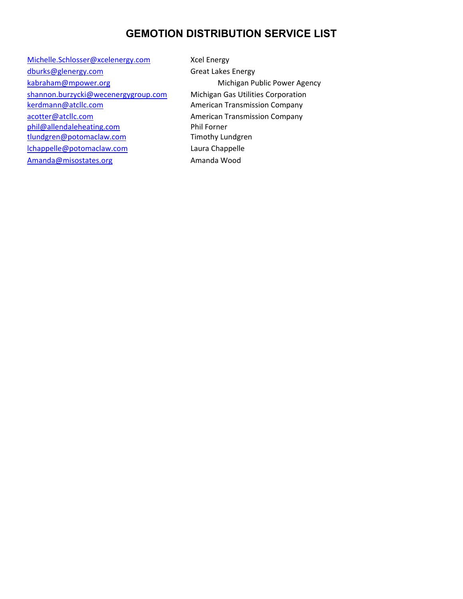# **GEMOTION DISTRIBUTION SERVICE LIST**

- [Michelle.Schlosser@xcelenergy.com](mailto:Michelle.Schlosser@xcelenergy.com) Xcel Energy [dburks@glenergy.com](mailto:dburks@glenergy.com) Great Lakes Energy [kabraham@mpower.org](mailto:kabraham@mpower.org) Michigan Public Power Agency [shannon.burzycki@wecenergygroup.com](mailto:shannon.burzycki@wecenergygroup.com) Michigan Gas Utilities Corporation [kerdmann@atcllc.com](mailto:kerdmann@atcllc.com) American Transmission Company [acotter@atcllc.com](mailto:acotter@atcllc.com) American Transmission Company [phil@allendaleheating.com](mailto:phil@allendaleheating.com) Phil Forner [tlundgren@potomaclaw.com](mailto:tlundgren@potomaclaw.com) Timothy Lundgren [lchappelle@potomaclaw.com](mailto:lchappelle@potomaclaw.com) Laura Chappelle [Amanda@misostates.org](mailto:Amanda@misostates.org) Manuson Amanda Wood
	-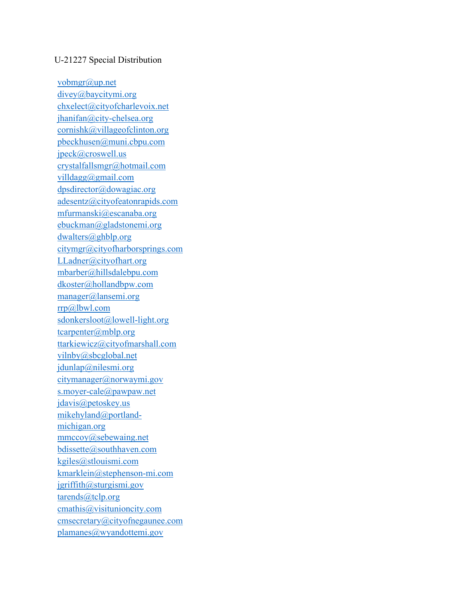### U-21227 Special Distribution

[vobmgr@up.net](mailto:vobmgr@up.net) [divey@baycitymi.org](mailto:divey@baycitymi.org) [chxelect@cityofcharlevoix.net](mailto:chxelect@cityofcharlevoix.net) [jhanifan@city-chelsea.org](mailto:jhanifan@city-chelsea.org) [cornishk@villageofclinton.org](mailto:cornishk@villageofclinton.org) [pbeckhusen@muni.cbpu.com](mailto:pbeckhusen@muni.cbpu.com) [jpeck@croswell.us](mailto:jpeck@croswell.us) [crystalfallsmgr@hotmail.com](mailto:crystalfallsmgr@hotmail.com) [villdagg@gmail.com](mailto:villdagg@gmail.com) [dpsdirector@dowagiac.org](mailto:dpsdirector@dowagiac.org) [adesentz@cityofeatonrapids.com](mailto:adesentz@cityofeatonrapids.com) [mfurmanski@escanaba.org](mailto:mfurmanski@escanaba.org) [ebuckman@gladstonemi.org](mailto:ebuckman@gladstonemi.org) [dwalters@ghblp.org](mailto:dwalters@ghblp.org) [citymgr@cityofharborsprings.com](mailto:citymgr@cityofharborsprings.com) [LLadner@cityofhart.org](mailto:LLadner@cityofhart.org) [mbarber@hillsdalebpu.com](mailto:mbarber@hillsdalebpu.com) [dkoster@hollandbpw.com](mailto:dkoster@hollandbpw.com) [manager@lansemi.org](mailto:manager@lansemi.org) [rrp@lbwl.com](mailto:rrp@lbwl.com) [sdonkersloot@lowell-light.org](mailto:sdonkersloot@lowell-light.org) [tcarpenter@mblp.org](mailto:tcarpenter@mblp.org) [ttarkiewicz@cityofmarshall.com](mailto:ttarkiewicz@cityofmarshall.com) [vilnby@sbcglobal.net](mailto:vilnby@sbcglobal.net)  $j$ dunlap $@$ nilesmi.org [citymanager@norwaymi.gov](mailto:citymanager@norwaymi.gov) [s.moyer-cale@pawpaw.net](mailto:s.moyer-cale@pawpaw.net) [jdavis@petoskey.us](mailto:jdavis@petoskey.us) [mikehyland@portland](mailto:mikehyland@portland-michigan.org)[michigan.org](mailto:mikehyland@portland-michigan.org) [mmccoy@sebewaing.net](mailto:mmccoy@sebewaing.net) [bdissette@southhaven.com](mailto:bdissette@southhaven.com) [kgiles@stlouismi.com](mailto:kgiles@stlouismi.com) [kmarklein@stephenson-mi.com](mailto:kmarklein@stephenson-mi.com) [jgriffith@sturgismi.gov](mailto:jgriffith@sturgismi.gov) [tarends@tclp.org](mailto:tarends@tclp.org) [cmathis@visitunioncity.com](mailto:cmathis@visitunioncity.com) [cmsecretary@cityofnegaunee.com](mailto:cmsecretary@cityofnegaunee.com) [plamanes@wyandottemi.gov](mailto:plamanes@wyandottemi.gov)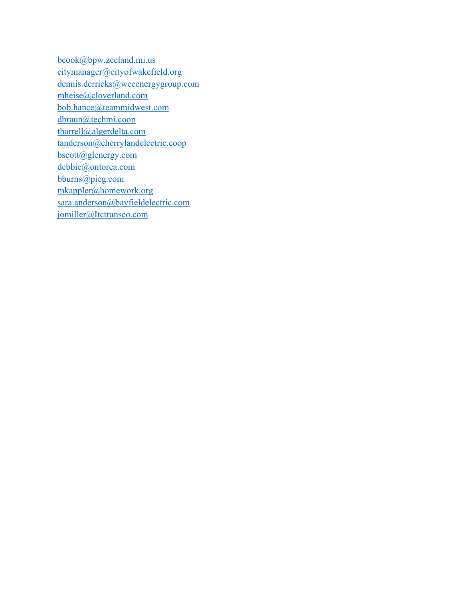[bcook@bpw.zeeland.mi.us](mailto:bcook@bpw.zeeland.mi.us) [citymanager@cityofwakefield.org](mailto:citymanager@cityofwakefield.org) [dennis.derricks@wecenergygroup.com](mailto:dennis.derricks@wecenergygroup.com) [mheise@cloverland.com](mailto:mheise@cloverland.com) [bob.hance@teammidwest.com](mailto:bob.hance@teammidwest.com) [dbraun@techmi.coop](mailto:dbraun@techmi.coop) [tharrell@algerdelta.com](mailto:tharrell@algerdelta.com) [tanderson@cherrylandelectric.coop](mailto:tanderson@cherrylandelectric.coop) [bscott@glenergy.com](mailto:bscott@glenergy.com) [debbie@ontorea.com](mailto:debbie@ontorea.com) [bburns@pieg.com](mailto:bburns@pieg.com) [mkappler@homework.org](mailto:mkappler@homework.org) [sara.anderson@bayfieldelectric.com](mailto:sara.anderson@bayfieldelectric.com) [jomiller@Itctransco.com](mailto:jomiller@Itctransco.com)